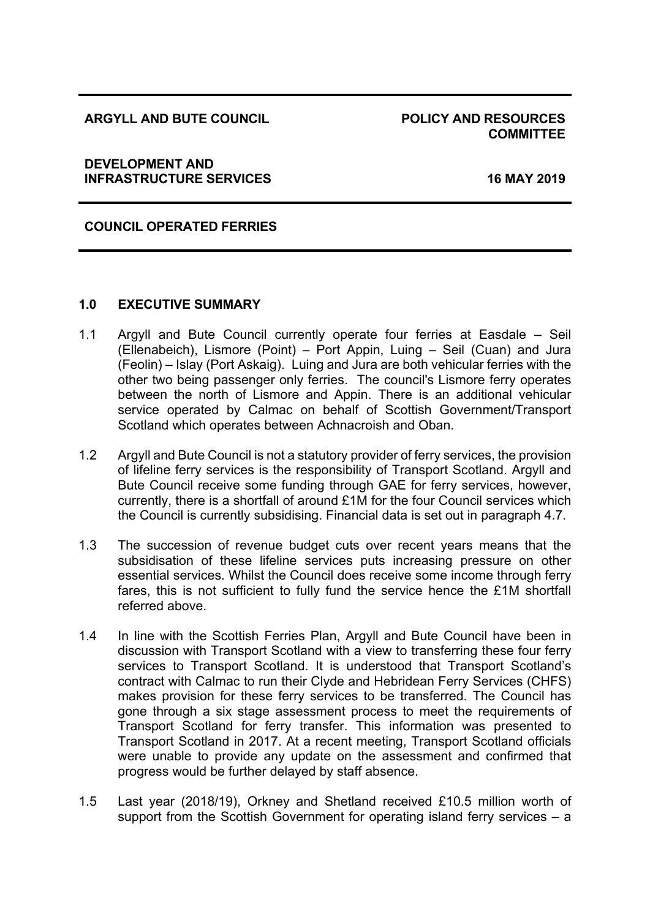#### **ARGYLL AND BUTE COUNCIL POLICY AND RESOURCES**

# **COMMITTEE**

#### **DEVELOPMENT AND INFRASTRUCTURE SERVICES 16 MAY 2019**

## **COUNCIL OPERATED FERRIES**

#### **1.0 EXECUTIVE SUMMARY**

- 1.1 Argyll and Bute Council currently operate four ferries at Easdale Seil (Ellenabeich), Lismore (Point) – Port Appin, Luing – Seil (Cuan) and Jura (Feolin) – Islay (Port Askaig). Luing and Jura are both vehicular ferries with the other two being passenger only ferries. The council's Lismore ferry operates between the north of Lismore and Appin. There is an additional vehicular service operated by Calmac on behalf of Scottish Government/Transport Scotland which operates between Achnacroish and Oban.
- 1.2 Argyll and Bute Council is not a statutory provider of ferry services, the provision of lifeline ferry services is the responsibility of Transport Scotland. Argyll and Bute Council receive some funding through GAE for ferry services, however, currently, there is a shortfall of around £1M for the four Council services which the Council is currently subsidising. Financial data is set out in paragraph 4.7.
- 1.3 The succession of revenue budget cuts over recent years means that the subsidisation of these lifeline services puts increasing pressure on other essential services. Whilst the Council does receive some income through ferry fares, this is not sufficient to fully fund the service hence the £1M shortfall referred above.
- 1.4 In line with the Scottish Ferries Plan, Argyll and Bute Council have been in discussion with Transport Scotland with a view to transferring these four ferry services to Transport Scotland. It is understood that Transport Scotland's contract with Calmac to run their Clyde and Hebridean Ferry Services (CHFS) makes provision for these ferry services to be transferred. The Council has gone through a six stage assessment process to meet the requirements of Transport Scotland for ferry transfer. This information was presented to Transport Scotland in 2017. At a recent meeting, Transport Scotland officials were unable to provide any update on the assessment and confirmed that progress would be further delayed by staff absence.
- 1.5 Last year (2018/19), Orkney and Shetland received £10.5 million worth of support from the Scottish Government for operating island ferry services – a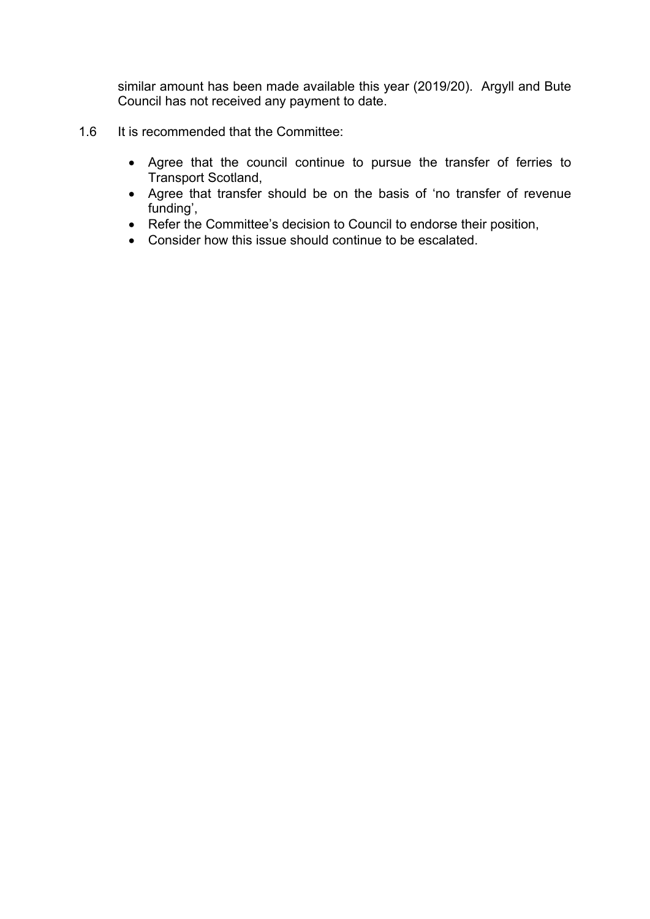similar amount has been made available this year (2019/20). Argyll and Bute Council has not received any payment to date.

- 1.6 It is recommended that the Committee:
	- Agree that the council continue to pursue the transfer of ferries to Transport Scotland,
	- Agree that transfer should be on the basis of 'no transfer of revenue funding',
	- Refer the Committee's decision to Council to endorse their position,
	- Consider how this issue should continue to be escalated.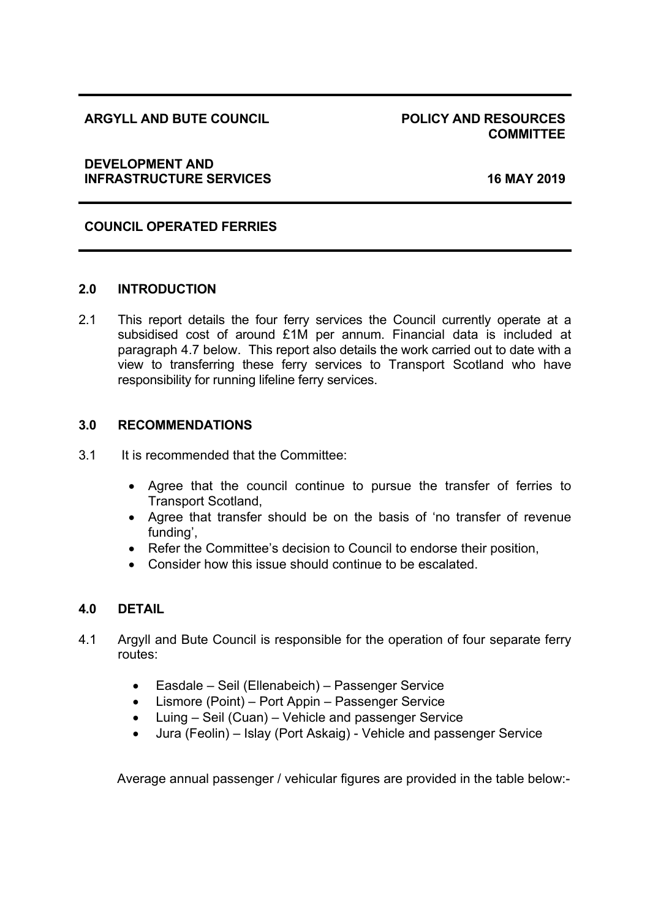## **ARGYLL AND BUTE COUNCIL POLICY AND RESOURCES**

# **COMMITTEE**

#### **DEVELOPMENT AND INFRASTRUCTURE SERVICES 16 MAY 2019**

# **COUNCIL OPERATED FERRIES**

#### **2.0 INTRODUCTION**

2.1 This report details the four ferry services the Council currently operate at a subsidised cost of around £1M per annum. Financial data is included at paragraph 4.7 below. This report also details the work carried out to date with a view to transferring these ferry services to Transport Scotland who have responsibility for running lifeline ferry services.

## **3.0 RECOMMENDATIONS**

- 3.1 It is recommended that the Committee:
	- Agree that the council continue to pursue the transfer of ferries to Transport Scotland,
	- Agree that transfer should be on the basis of 'no transfer of revenue funding',
	- Refer the Committee's decision to Council to endorse their position,
	- Consider how this issue should continue to be escalated.

# **4.0 DETAIL**

- 4.1 Argyll and Bute Council is responsible for the operation of four separate ferry routes:
	- Easdale Seil (Ellenabeich) Passenger Service
	- Lismore (Point) Port Appin Passenger Service
	- Luing Seil (Cuan) Vehicle and passenger Service
	- Jura (Feolin) Islay (Port Askaig) Vehicle and passenger Service

Average annual passenger / vehicular figures are provided in the table below:-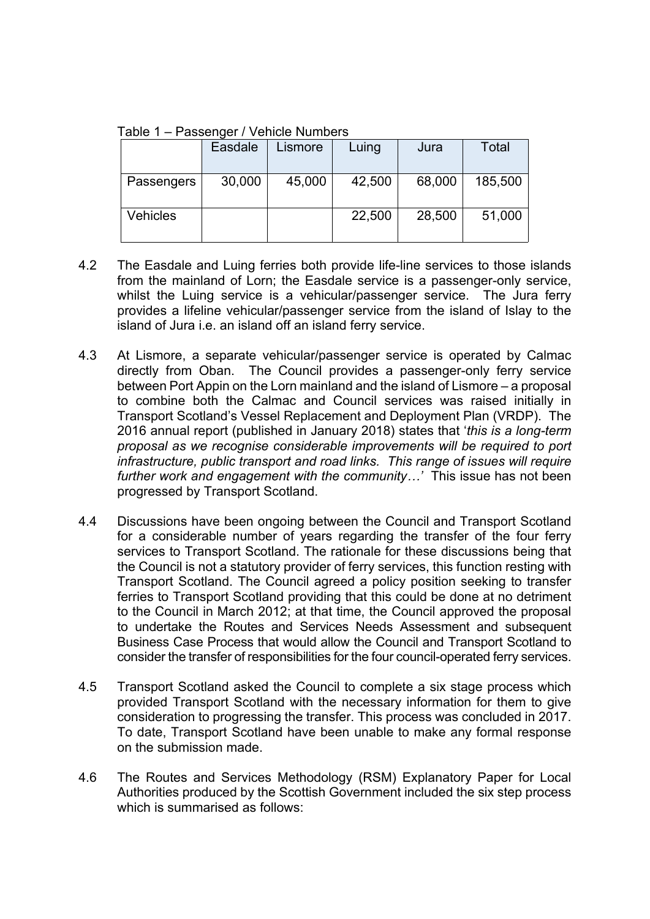Table 1 – Passenger / Vehicle Numbers

|                 | Easdale | Lismore | Luing  | Jura   | <b>Total</b> |
|-----------------|---------|---------|--------|--------|--------------|
| Passengers      | 30,000  | 45,000  | 42,500 | 68,000 | 185,500      |
| <b>Vehicles</b> |         |         | 22,500 | 28,500 | 51,000       |

- 4.2 The Easdale and Luing ferries both provide life-line services to those islands from the mainland of Lorn; the Easdale service is a passenger-only service, whilst the Luing service is a vehicular/passenger service. The Jura ferry provides a lifeline vehicular/passenger service from the island of Islay to the island of Jura i.e. an island off an island ferry service.
- 4.3 At Lismore, a separate vehicular/passenger service is operated by Calmac directly from Oban. The Council provides a passenger-only ferry service between Port Appin on the Lorn mainland and the island of Lismore – a proposal to combine both the Calmac and Council services was raised initially in Transport Scotland's Vessel Replacement and Deployment Plan (VRDP). The 2016 annual report (published in January 2018) states that '*this is a long-term proposal as we recognise considerable improvements will be required to port infrastructure, public transport and road links. This range of issues will require further work and engagement with the community…'* This issue has not been progressed by Transport Scotland.
- 4.4 Discussions have been ongoing between the Council and Transport Scotland for a considerable number of years regarding the transfer of the four ferry services to Transport Scotland. The rationale for these discussions being that the Council is not a statutory provider of ferry services, this function resting with Transport Scotland. The Council agreed a policy position seeking to transfer ferries to Transport Scotland providing that this could be done at no detriment to the Council in March 2012; at that time, the Council approved the proposal to undertake the Routes and Services Needs Assessment and subsequent Business Case Process that would allow the Council and Transport Scotland to consider the transfer of responsibilities for the four council-operated ferry services.
- 4.5 Transport Scotland asked the Council to complete a six stage process which provided Transport Scotland with the necessary information for them to give consideration to progressing the transfer. This process was concluded in 2017. To date, Transport Scotland have been unable to make any formal response on the submission made.
- 4.6 The Routes and Services Methodology (RSM) Explanatory Paper for Local Authorities produced by the Scottish Government included the six step process which is summarised as follows: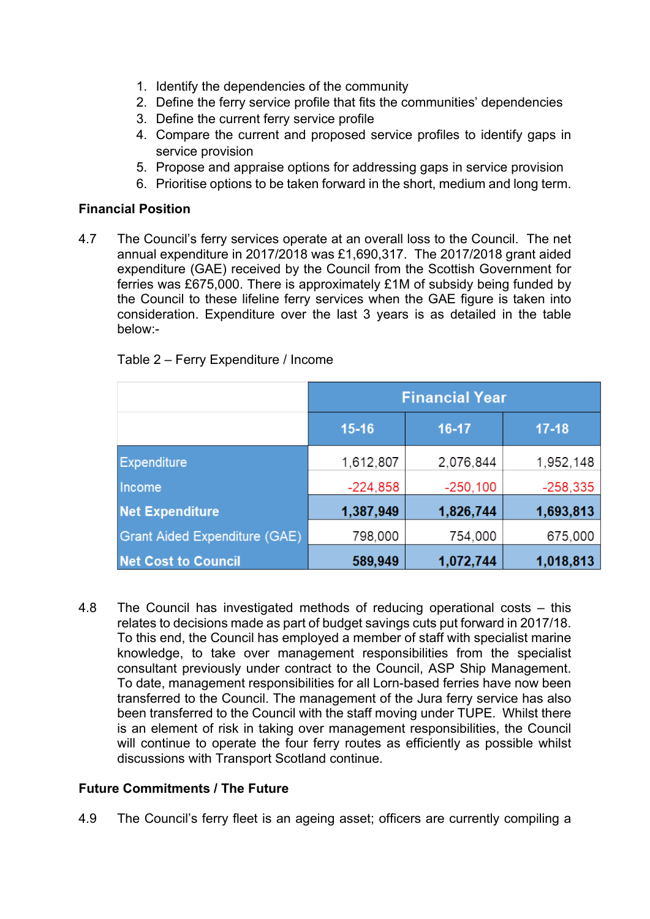- 1. Identify the dependencies of the community
- 2. Define the ferry service profile that fits the communities' dependencies
- 3. Define the current ferry service profile
- 4. Compare the current and proposed service profiles to identify gaps in service provision
- 5. Propose and appraise options for addressing gaps in service provision
- 6. Prioritise options to be taken forward in the short, medium and long term.

# **Financial Position**

4.7 The Council's ferry services operate at an overall loss to the Council. The net annual expenditure in 2017/2018 was £1,690,317. The 2017/2018 grant aided expenditure (GAE) received by the Council from the Scottish Government for ferries was £675,000. There is approximately £1M of subsidy being funded by the Council to these lifeline ferry services when the GAE figure is taken into consideration. Expenditure over the last 3 years is as detailed in the table below:-

|                                      | <b>Financial Year</b> |            |            |  |  |
|--------------------------------------|-----------------------|------------|------------|--|--|
|                                      | $15 - 16$             | 16-17      | $17 - 18$  |  |  |
| <b>Expenditure</b>                   | 1,612,807             | 2,076,844  | 1,952,148  |  |  |
| Income                               | $-224,858$            | $-250,100$ | $-258,335$ |  |  |
| <b>Net Expenditure</b>               | 1,387,949             | 1,826,744  | 1,693,813  |  |  |
| <b>Grant Aided Expenditure (GAE)</b> | 798,000               | 754,000    | 675,000    |  |  |
| <b>Net Cost to Council</b>           | 589,949               | 1,072,744  | 1,018,813  |  |  |

# Table 2 – Ferry Expenditure / Income

4.8 The Council has investigated methods of reducing operational costs – this relates to decisions made as part of budget savings cuts put forward in 2017/18. To this end, the Council has employed a member of staff with specialist marine knowledge, to take over management responsibilities from the specialist consultant previously under contract to the Council, ASP Ship Management. To date, management responsibilities for all Lorn-based ferries have now been transferred to the Council. The management of the Jura ferry service has also been transferred to the Council with the staff moving under TUPE. Whilst there is an element of risk in taking over management responsibilities, the Council will continue to operate the four ferry routes as efficiently as possible whilst discussions with Transport Scotland continue.

## **Future Commitments / The Future**

4.9 The Council's ferry fleet is an ageing asset; officers are currently compiling a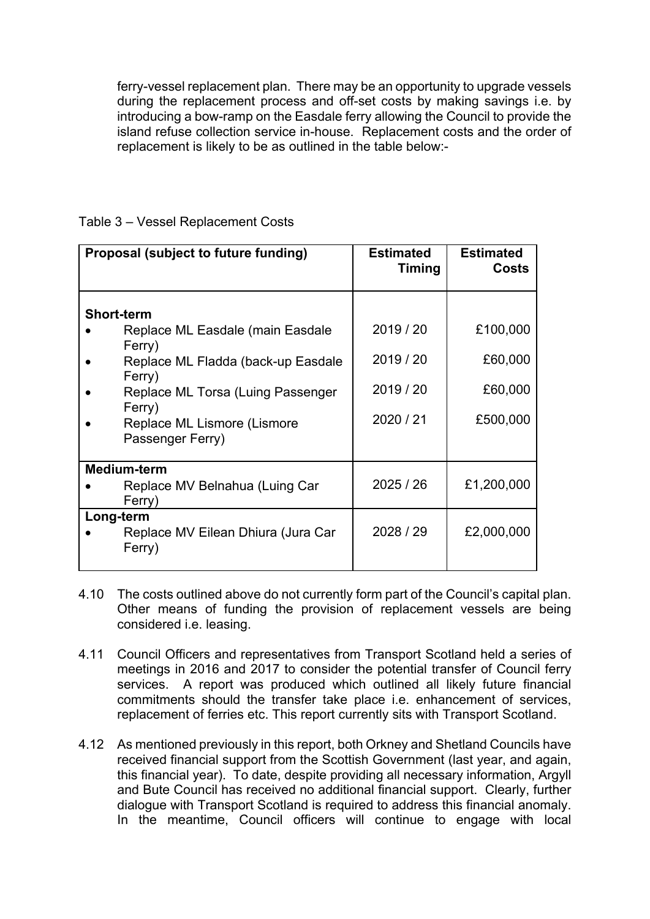ferry-vessel replacement plan. There may be an opportunity to upgrade vessels during the replacement process and off-set costs by making savings i.e. by introducing a bow-ramp on the Easdale ferry allowing the Council to provide the island refuse collection service in-house. Replacement costs and the order of replacement is likely to be as outlined in the table below:-

| Proposal (subject to future funding)                                                                                                                                                                              | <b>Estimated</b><br><b>Timing</b>              | <b>Estimated</b><br><b>Costs</b>           |
|-------------------------------------------------------------------------------------------------------------------------------------------------------------------------------------------------------------------|------------------------------------------------|--------------------------------------------|
| <b>Short-term</b><br>Replace ML Easdale (main Easdale<br>Ferry)<br>Replace ML Fladda (back-up Easdale<br>Ferry)<br>Replace ML Torsa (Luing Passenger<br>Ferry)<br>Replace ML Lismore (Lismore<br>Passenger Ferry) | 2019 / 20<br>2019 / 20<br>2019/20<br>2020 / 21 | £100,000<br>£60,000<br>£60,000<br>£500,000 |
| <b>Medium-term</b><br>Replace MV Belnahua (Luing Car<br>Ferry)<br>Long-term<br>Replace MV Eilean Dhiura (Jura Car<br>Ferry)                                                                                       | 2025/26<br>2028 / 29                           | £1,200,000<br>£2,000,000                   |

# Table 3 – Vessel Replacement Costs

- 4.10 The costs outlined above do not currently form part of the Council's capital plan. Other means of funding the provision of replacement vessels are being considered i.e. leasing.
- 4.11 Council Officers and representatives from Transport Scotland held a series of meetings in 2016 and 2017 to consider the potential transfer of Council ferry services. A report was produced which outlined all likely future financial commitments should the transfer take place i.e. enhancement of services, replacement of ferries etc. This report currently sits with Transport Scotland.
- 4.12 As mentioned previously in this report, both Orkney and Shetland Councils have received financial support from the Scottish Government (last year, and again, this financial year). To date, despite providing all necessary information, Argyll and Bute Council has received no additional financial support. Clearly, further dialogue with Transport Scotland is required to address this financial anomaly. In the meantime, Council officers will continue to engage with local